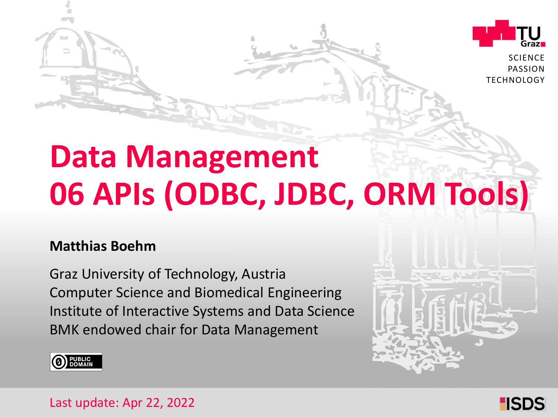

**SCIENCE** PASSION TECHNOLOGY

# **Data Management 06 APIs (ODBC, JDBC, ORM Tools)**

#### **Matthias Boehm**

Graz University of Technology, Austria Institute of Interactive Systems and Data Science Computer Science and Biomedical Engineering BMK endowed chair for Data Management





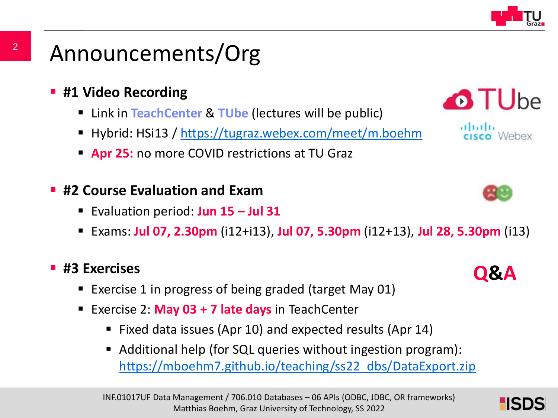

### Announcements/Org

- **#1 Video Recording** 
	- Link in **TeachCenter** & **TUbe** (lectures will be public)
	- Hybrid: HSi13 / <https://tugraz.webex.com/meet/m.boehm>
	- **Apr 25:** no more COVID restrictions at TU Graz

#### **#2 Course Evaluation and Exam**

- Evaluation period: **Jun 15 – Jul 31**
- Exams: **Jul 07, 2.30pm** (i12+i13), **Jul 07, 5.30pm** (i12+13), **Jul 28, 5.30pm** (i13)

#### **#3 Exercises**

- Exercise 1 in progress of being graded (target May 01)
- Exercise 2: **May 03 + 7 late days** in TeachCenter
	- Fixed data issues (Apr 10) and expected results (Apr 14)
	- Additional help (for SQL queries without ingestion program): [https://mboehm7.github.io/teaching/ss22\\_dbs/DataExport.zip](https://mboehm7.github.io/teaching/ss22_dbs/DataExport.zip)





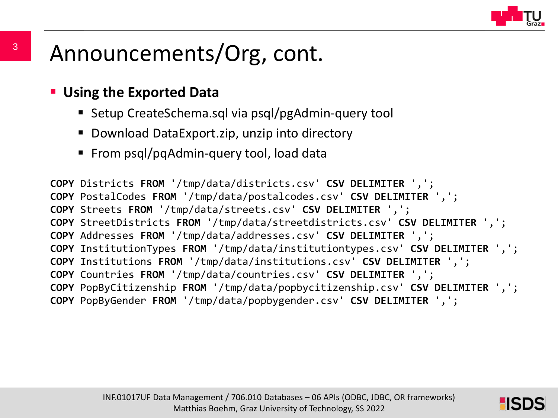

### Announcements/Org, cont.

#### **Using the Exported Data**

- Setup CreateSchema.sql via psql/pgAdmin-query tool
- Download DataExport.zip, unzip into directory
- From psql/pqAdmin-query tool, load data

**COPY** Districts **FROM** '/tmp/data/districts.csv' **CSV DELIMITER** ','; **COPY** PostalCodes **FROM** '/tmp/data/postalcodes.csv' **CSV DELIMITER** ','; **COPY** Streets **FROM** '/tmp/data/streets.csv' **CSV DELIMITER** ','; **COPY** StreetDistricts **FROM** '/tmp/data/streetdistricts.csv' **CSV DELIMITER** ','; **COPY** Addresses **FROM** '/tmp/data/addresses.csv' **CSV DELIMITER** ','; **COPY** InstitutionTypes **FROM** '/tmp/data/institutiontypes.csv' **CSV DELIMITER** ','; **COPY** Institutions **FROM** '/tmp/data/institutions.csv' **CSV DELIMITER** ','; **COPY** Countries **FROM** '/tmp/data/countries.csv' **CSV DELIMITER** ','; **COPY** PopByCitizenship **FROM** '/tmp/data/popbycitizenship.csv' **CSV DELIMITER** ','; **COPY** PopByGender **FROM** '/tmp/data/popbygender.csv' **CSV DELIMITER** ',';

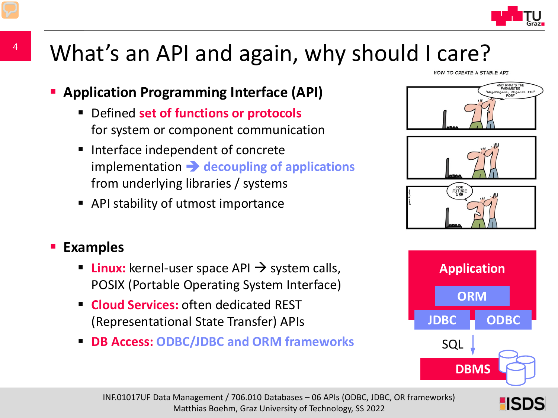

### What's an API and again, why should I care?

- **Application Programming Interface (API)**
	- Defined **set of functions or protocols** for system or component communication
	- Interface independent of concrete implementation  $\rightarrow$  decoupling of applications from underlying libraries / systems
	- API stability of utmost importance

#### **Examples**

- **Linux:** kernel-user space API  $\rightarrow$  system calls, POSIX (Portable Operating System Interface)
- **Cloud Services:** often dedicated REST (Representational State Transfer) APIs
- **DB Access: ODBC/JDBC and ORM frameworks**

HOW TO CREATE A STABLE API









HSD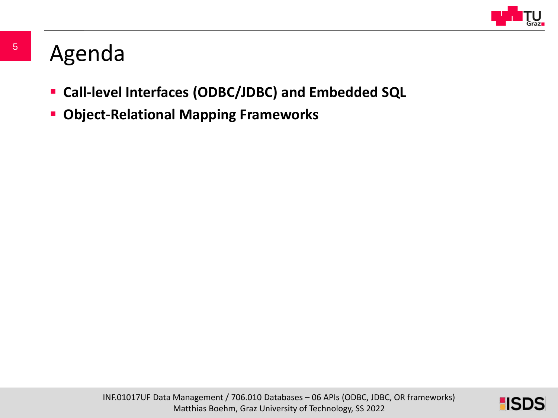

### Agenda

- **Call-level Interfaces (ODBC/JDBC) and Embedded SQL**
- **Object-Relational Mapping Frameworks**

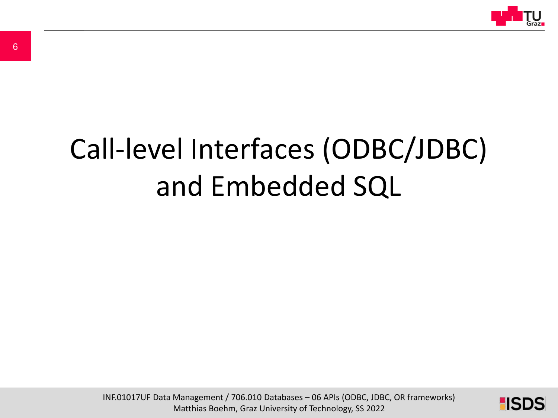

# Call-level Interfaces (ODBC/JDBC) and Embedded SQL

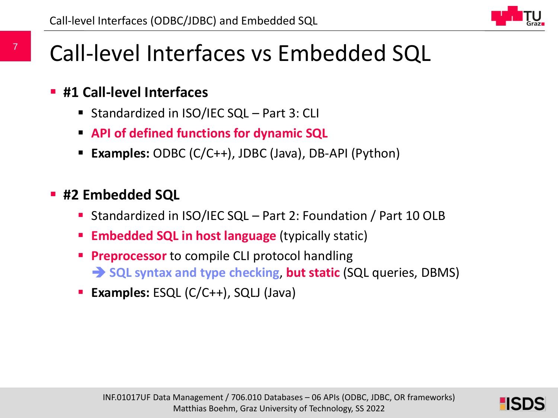

### Call-level Interfaces vs Embedded SQL

- **#1 Call-level Interfaces**
	- Standardized in ISO/IEC SQL Part 3: CLI
	- **API of defined functions for dynamic SQL**
	- **Examples:** ODBC (C/C++), JDBC (Java), DB-API (Python)
- **#2 Embedded SQL**
	- Standardized in ISO/IEC SQL Part 2: Foundation / Part 10 OLB
	- **Embedded SQL in host language** (typically static)
	- **Preprocessor** to compile CLI protocol handling **SQL syntax and type checking, but static** (SQL queries, DBMS)
	- **Examples:** ESQL (C/C++), SQLJ (Java)

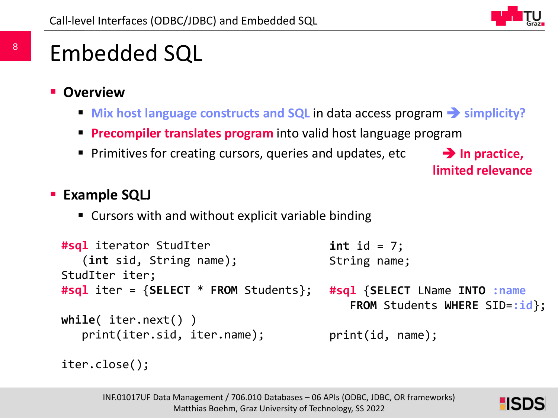

## Embedded SQL

- **Overview**
	- **Mix host language constructs and SQL** in data access program **•** simplicity?
	- **Precompiler translates program** into valid host language program
	- **Primitives for creating cursors, queries and updates, etc.**

**→ In practice, limited relevance**

#### **Example SQLJ**

■ Cursors with and without explicit variable binding

```
#sql iterator StudIter
   (int sid, String name);
StudIter iter;
#sql iter = {SELECT * FROM Students};
while( iter.next() )
   print(iter.sid, iter.name);
                                        int id = 7;
                                        String name;
                                        #sql {SELECT LName INTO :name
                                           FROM Students WHERE SID=:id};
                                        print(id, name);
```

```
iter.close();
```
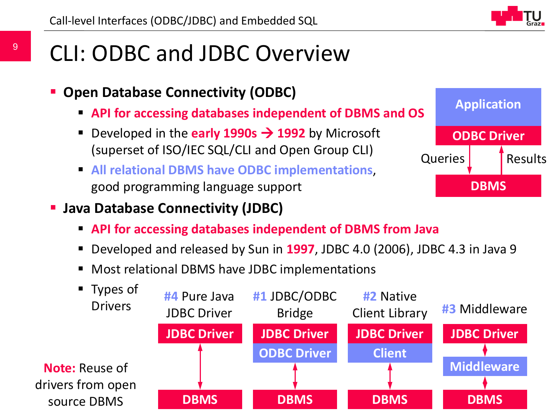- CLI: ODBC and JDBC Overview
	- **Open Database Connectivity (ODBC)**
		- **API for accessing databases independent of DBMS and OS**
		- **•** Developed in the **early 1990s**  $\rightarrow$  **1992** by Microsoft (superset of ISO/IEC SQL/CLI and Open Group CLI)
		- **All relational DBMS have ODBC implementations**, good programming language support



- **Java Database Connectivity (JDBC)**
	- **API for accessing databases independent of DBMS from Java**
	- Developed and released by Sun in **1997**, JDBC 4.0 (2006), JDBC 4.3 in Java 9
	- Most relational DBMS have JDBC implementations

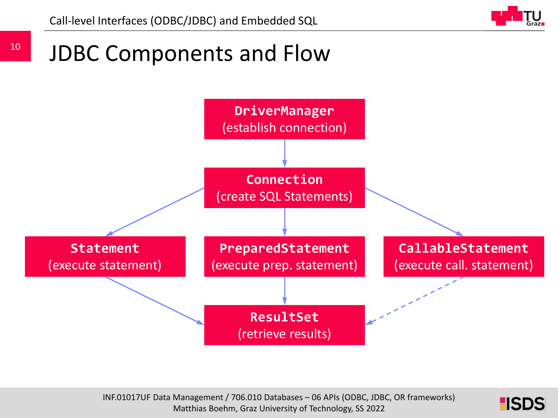

#### 10 JDBC Components and Flow



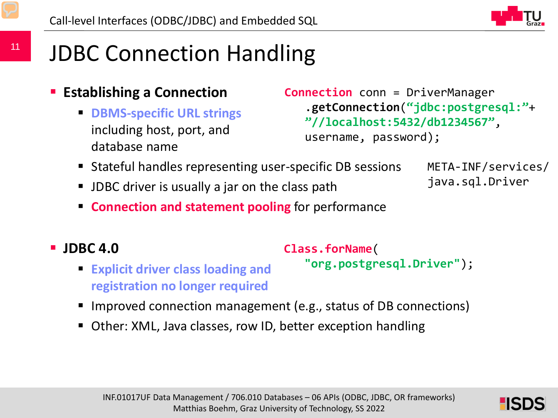

## JDBC Connection Handling

- **Establishing a Connection**
	- **DBMS-specific URL strings**  including host, port, and database name

```
Connection conn = DriverManager
   .getConnection("jdbc:postgresql:"+
   "//localhost:5432/db1234567", 
   username, password);
```
- Stateful handles representing user-specific DB sessions
- **JDBC** driver is usually a jar on the class path
- META-INF/services/ java.sql.Driver
- **Connection and statement pooling** for performance
- **JDBC 4.0**

**Class.forName**(

```
 Explicit driver class loading and 
  registration no longer required
                                       "org.postgresql.Driver");
```
- Improved connection management (e.g., status of DB connections)
- Other: XML, Java classes, row ID, better exception handling

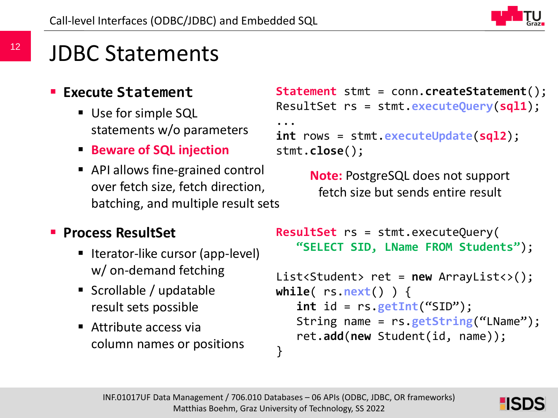

### JDBC Statements

#### **Execute Statement**

- Use for simple SQL statements w/o parameters
- **Beware of SQL injection**
- API allows fine-grained control over fetch size, fetch direction, batching, and multiple result sets

```
Statement stmt = conn.createStatement();
ResultSet rs = stmt.executeQuery(sql1);
...
int rows = stmt.executeUpdate(sql2);
stmt.close();
```
**Note:** PostgreSQL does not support fetch size but sends entire result

#### **Process ResultSet**

- Iterator-like cursor (app-level) w/ on-demand fetching
- Scrollable / updatable result sets possible
- Attribute access via column names or positions

```
ResultSet rs = stmt.executeQuery(
   "SELECT SID, LName FROM Students");
```

```
List<Student> ret = new ArrayList<>();
while( rs.next() ) {
   int id = rs.getInt("SID");
   String name = rs.getString("LName");
   ret.add(new Student(id, name));
}
```
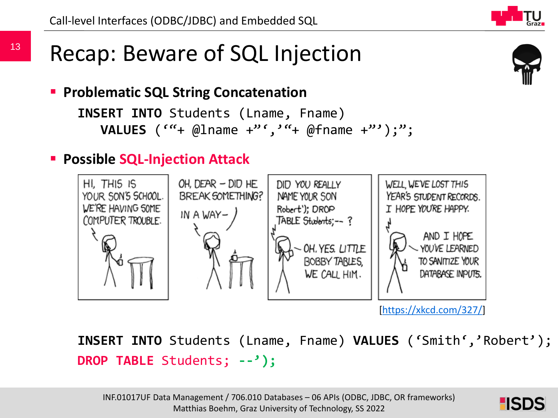**Problematic SQL String Concatenation**

```
INSERT INTO Students (Lname, Fname)
  VALUES (""+ @lname +"',""+ @fname +"');";
```
### **Possible SQL-Injection Attack**



[\[https://xkcd.com/327/](https://xkcd.com/327/)]

**INSERT INTO** Students (Lname, Fname) **VALUES** ('Smith','Robert'); **DROP TABLE** Students; **--');**



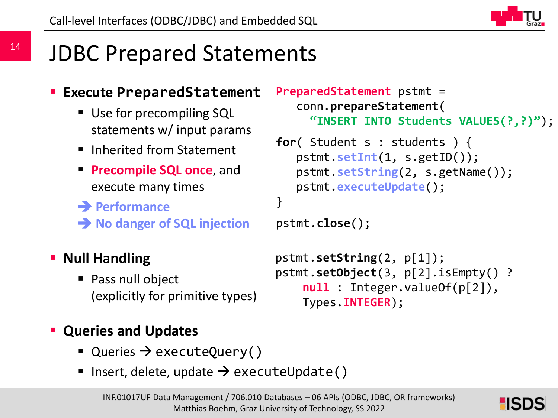

### JDBC Prepared Statements

#### **Execute PreparedStatement**

- Use for precompiling SQL statements w/ input params
- **Inherited from Statement**
- **Precompile SQL once**, and execute many times
- **Performance**
- **→ No danger of SQL injection**

#### **- Null Handling**

■ Pass null object (explicitly for primitive types)

#### **Queries and Updates**

- Queries  $\rightarrow$  executeQuery()
- Insert, delete, update  $\rightarrow$  executeUpdate()



```
pstmt.close();
```

```
pstmt.setString(2, p[1]);
pstmt.setObject(3, p[2].isEmpty() ? 
    null : Integer.valueOf(p[2]), 
    Types.INTEGER);
```
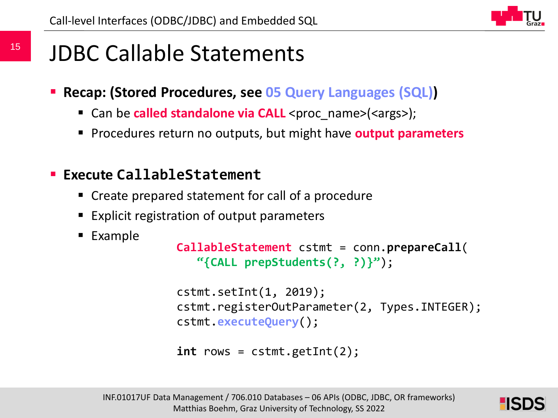

### JDBC Callable Statements

- **Recap: (Stored Procedures, see 05 Query Languages (SQL))**
	- Can be **called standalone via CALL** <proc\_name>(<args>);
	- **Procedures return no outputs, but might have output parameters**

#### **Execute CallableStatement**

- Create prepared statement for call of a procedure
- Explicit registration of output parameters
- Example

```
CallableStatement cstmt = conn.prepareCall(
   "{CALL prepStudents(?, ?)}");
```

```
cstmt.setInt(1, 2019);
cstmt.registerOutParameter(2, Types.INTEGER);
cstmt.executeQuery();
```

```
int rows = cstmt.getInt(2);
```
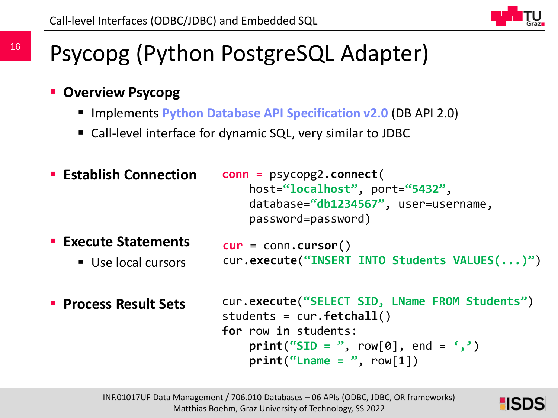### Psycopg (Python PostgreSQL Adapter)

- **Overview Psycopg**
	- **Implements Python Database API Specification v2.0 (DB API 2.0)**
	- Call-level interface for dynamic SQL, very similar to JDBC

```
 Establish Connection
                          conn = psycopg2.connect(
                              host="localhost", port="5432",
                              database="db1234567", user=username, 
                              password=password)
```
- **Execute Statements**
	- Use local cursors

```
cur = conn.cursor()
cur.execute("INSERT INTO Students VALUES(...)")
```
**Process Result Sets**

```
cur.execute("SELECT SID, LName FROM Students")
students = cur.fetchall()
for row in students:
    print("SID = ", row[0], end = ', ')print("Change = ", row[1])
```
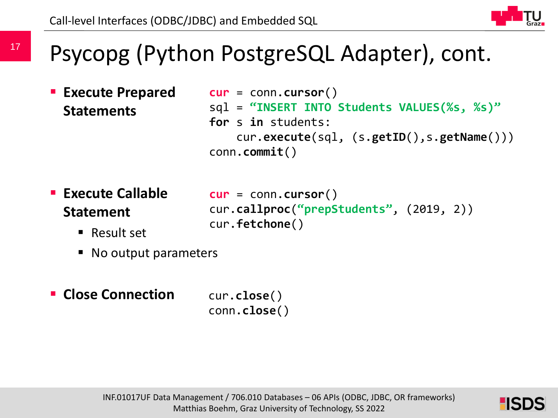### Psycopg (Python PostgreSQL Adapter), cont.

 **Execute Prepared Statements**

17

```
cur = conn.cursor()
sql = "INSERT INTO Students VALUES(%s, %s)"
for s in students:
    cur.execute(sql, (s.getID(),s.getName()))
conn.commit()
```
- **Execute Callable Statement**
	- Result set
- **cur** = conn.**cursor**() cur.**callproc**(**"prepStudents"**, (2019, 2)) cur.**fetchone**()
- No output parameters
- **Close Connection** cur.**close**()

conn.**close**()

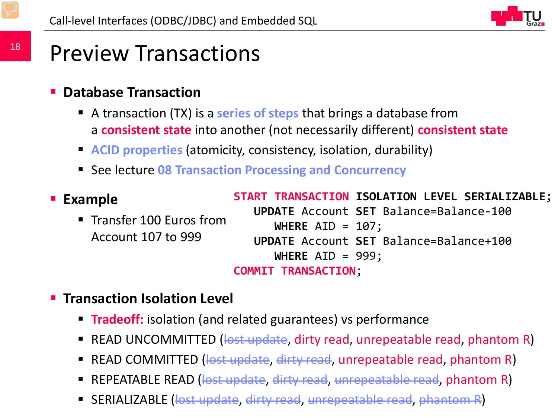

### Preview Transactions

#### **Database Transaction**

- A transaction (TX) is a **series of steps** that brings a database from a **consistent state** into another (not necessarily different) **consistent state**
- **ACID properties** (atomicity, consistency, isolation, durability)
- See lecture 08 Transaction Processing and Concurrency

```
 Example
      Transfer 100 Euros from
      Account 107 to 999
                            START TRANSACTION ISOLATION LEVEL SERIALIZABLE;
                               UPDATE Account SET Balance=Balance-100 
                                  WHERE AID = 107;
                               UPDATE Account SET Balance=Balance+100 
                                  WHERE AID = 999;
                            COMMIT TRANSACTION;
```
- **Transaction Isolation Level**
	- **Tradeoff:** isolation (and related guarantees) vs performance
	- READ UNCOMMITTED (<del>lost update</del>, dirty read, unrepeatable read, phantom R)
	- **READ COMMITTED** (<del>lost update, dirty read</del>, unrepeatable read, phantom R)
	- **REPEATABLE READ (lost update, dirty read, unrepeatable read, phantom R)**
	- INF.01017UP Data Management Alexander Construction in 1999. Party  $\mathbb{R}^2$  university of  $\mathbb{R}^2$  university of Technology, SS 2022 **SERIALIZABLE (lost update, dirty read, unrepeatable read, phantom R)**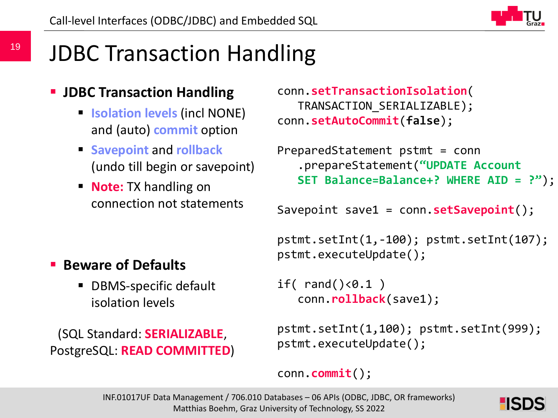

## JDBC Transaction Handling

### **JDBC Transaction Handling**

- **Isolation levels (incl NONE)** and (auto) **commit** option
- **F** Savepoint and **rollback** (undo till begin or savepoint)
- **Note:** TX handling on connection not statements

```
 Beware of Defaults
```
 DBMS-specific default isolation levels

(SQL Standard: **SERIALIZABLE**, PostgreSQL: **READ COMMITTED**)

```
conn.setTransactionIsolation(
   TRANSACTION_SERIALIZABLE);
conn.setAutoCommit(false);
```

```
PreparedStatement pstmt = conn
   .prepareStatement("UPDATE Account 
   SET Balance=Balance+? WHERE AID = ?");
```

```
Savepoint save1 = conn.setSavepoint();
```

```
pstmt.setInt(1,-100); pstmt.setInt(107);
pstmt.executeUpdate();
```

```
if( rand() < 0.1 )
   conn.rollback(save1);
```

```
pstmt.setInt(1,100); pstmt.setInt(999);
pstmt.executeUpdate();
```

```
conn.commit();
```
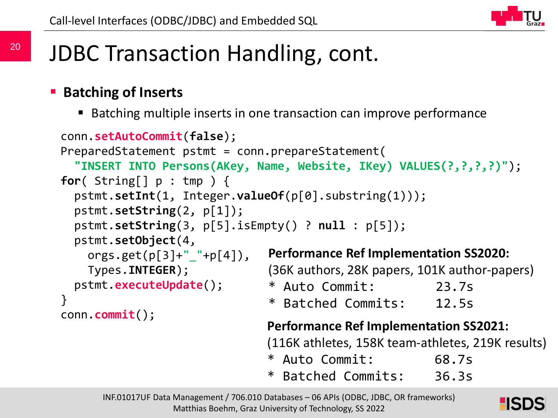

## JDBC Transaction Handling, cont.

#### **Batching of Inserts**

Batching multiple inserts in one transaction can improve performance

```
conn.setAutoCommit(false);
PreparedStatement pstmt = conn.prepareStatement(
  "INSERT INTO Persons(AKey, Name, Website, IKey) VALUES(?,?,?,?)");
for( String[] p : tmp ) {
  pstmt.setInt(1, Integer.valueOf(p[0].substring(1)));
  pstmt.setString(2, p[1]);
  pstmt.setString(3, p[5].isEmpty() ? null : p[5]);
  pstmt.setObject(4, 
    orgs.get(p[3]+"<sup>-</sup>"+p[4]),
    Types.INTEGER);
  pstmt.executeUpdate();
}
conn.commit(); Performance Ref Implementation SS2021:
                               (116K athletes, 158K team-athletes, 219K results)
                               Performance Ref Implementation SS2020:
                               (36K authors, 28K papers, 101K author-papers)
                               * Auto Commit: 23.7s
                               * Batched Commits: 12.5s
```
- \* Auto Commit: 68.7s
- \* Batched Commits: 36.3s

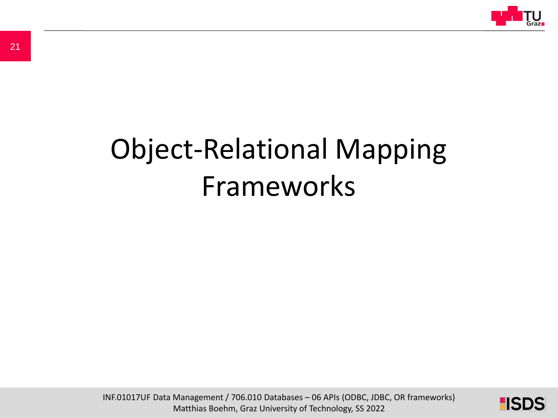

# Object-Relational Mapping Frameworks

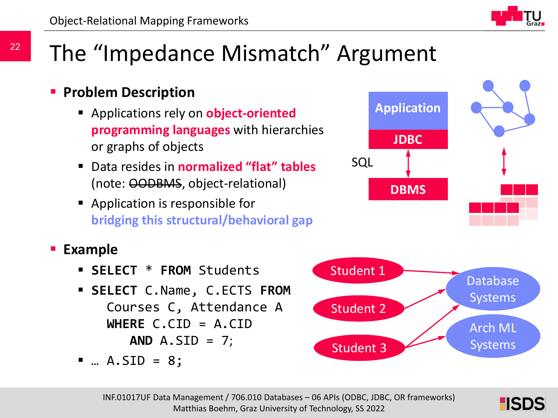## The "Impedance Mismatch" Argument

### **Problem Description**

- Applications rely on **object-oriented programming languages** with hierarchies or graphs of objects
- Data resides in **normalized "flat" tables** (note: OODBMS, object-relational)
- **•** Application is responsible for **bridging this structural/behavioral gap**





- Courses C, Attendance A **WHERE** C.CID = A.CID **AND** A.SID = 7;
- $\blacksquare$  ... A.SID = 8;





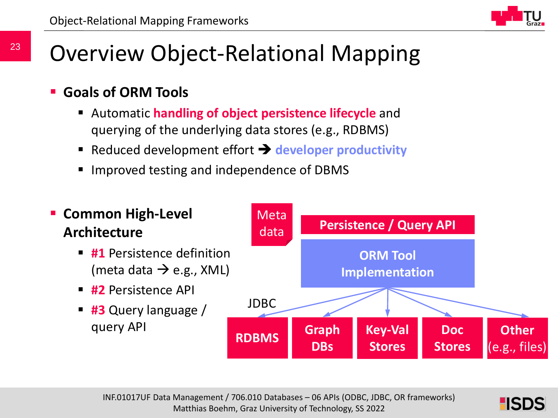

### Overview Object-Relational Mapping

- **Goals of ORM Tools**
	- Automatic **handling of object persistence lifecycle** and querying of the underlying data stores (e.g., RDBMS)
	- **Reduced development effort**  $\rightarrow$  **developer productivity**
	- Improved testing and independence of DBMS



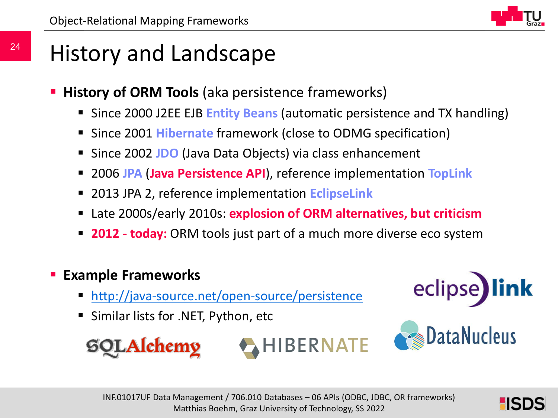

### History and Landscape

- **History of ORM Tools** (aka persistence frameworks)
	- Since 2000 J2EE EJB **Entity Beans** (automatic persistence and TX handling)
	- Since 2001 **Hibernate** framework (close to ODMG specification)
	- **Since 2002 JDO** (Java Data Objects) via class enhancement
	- 2006 **JPA** (**Java Persistence API**), reference implementation **TopLink**
	- 2013 JPA 2, reference implementation **EclipseLink**
	- Late 2000s/early 2010s: **explosion of ORM alternatives, but criticism**
	- **2012 - today:** ORM tools just part of a much more diverse eco system

### **Example Frameworks**

- <http://java-source.net/open-source/persistence>
- Similar lists for .NET, Python, etc

<u>**Mchemy**</u>





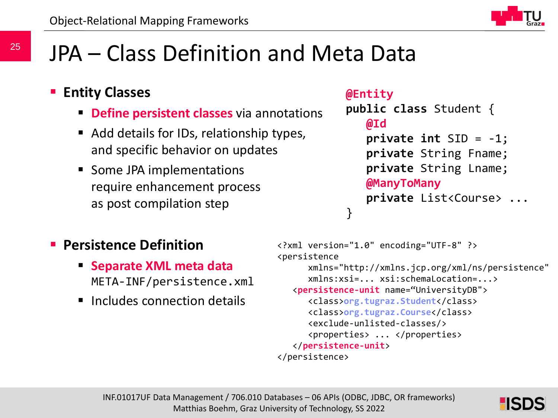### JPA – Class Definition and Meta Data

#### **Entity Classes**

- **Define persistent classes** via annotations
- Add details for IDs, relationship types, and specific behavior on updates
- Some JPA implementations require enhancement process as post compilation step

#### **@Entity**

```
public class Student {
   @Id
   private int SID = -1;
   private String Fname;
   private String Lname;
   @ManyToMany
   private List<Course> ...
}
```
#### **Persistence Definition**

- **Separate XML meta data** META-INF/persistence.xml
- **Includes connection details**

```
<?xml version="1.0" encoding="UTF-8" ?>
<persistence 
     xmlns="http://xmlns.jcp.org/xml/ns/persistence"
      xmlns:xsi=... xsi:schemaLocation=...>
   <persistence-unit name="UniversityDB">
      <class>org.tugraz.Student</class>
      <class>org.tugraz.Course</class>
      <exclude-unlisted-classes/>
      <properties> ... </properties>
   </persistence-unit>
</persistence>
```

```
INF.01017UF Data Management / 706.010 Databases – 06 APIs (ODBC, JDBC, OR frameworks)
                 Matthias Boehm, Graz University of Technology, SS 2022
```
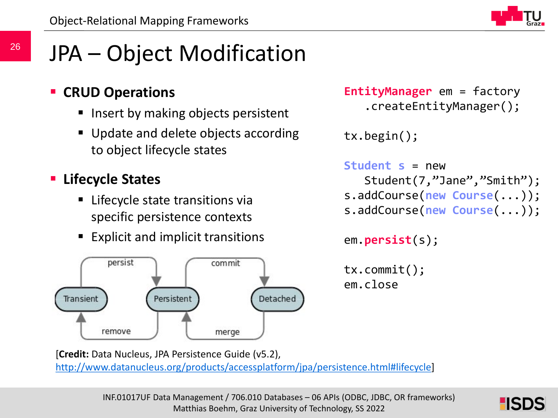

## JPA – Object Modification

### **CRUD Operations**

- Insert by making objects persistent
- Update and delete objects according to object lifecycle states

### **Lifecycle States**

- Lifecycle state transitions via specific persistence contexts
- Explicit and implicit transitions



```
EntityManager em = factory
   .createEntityManager();
```
tx.begin();

```
Student s = new 
   Student(7,"Jane","Smith");
s.addCourse(new Course(...));
s.addCourse(new Course(...));
```

```
em.persist(s);
```

```
tx.commit();
em.close
```
[**Credit:** Data Nucleus, JPA Persistence Guide (v5.2), [http://www.datanucleus.org/products/accessplatform/jpa/persistence.html#lifecycle\]](http://www.datanucleus.org/products/accessplatform/jpa/persistence.html#lifecycle)

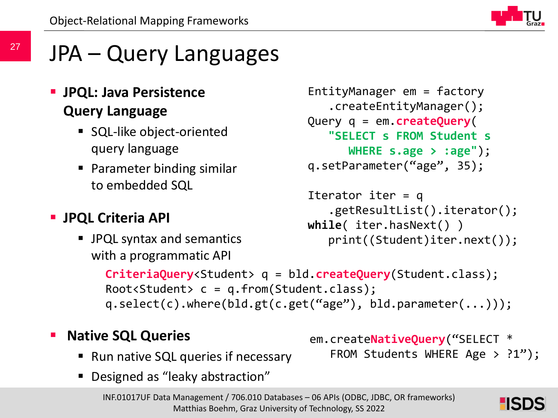

## JPA – Query Languages

### **JPQL: Java Persistence Query Language**

- SQL-like object-oriented query language
- **Parameter binding similar** to embedded SQL

### **JPQL Criteria API**

 JPQL syntax and semantics with a programmatic API

```
EntityManager em = factory
   .createEntityManager();
Query q = em.createQuery(
   "SELECT s FROM Student s 
      WHERE s.age > :age");
q.setParameter("age", 35);
```

```
Iterator iter = q
   .getResultList().iterator();
while( iter.hasNext() )
   print((Student)iter.next());
```
em.create**NativeQuery**("SELECT \*

FROM Students WHERE Age > ?1");

```
CriteriaQuery<Student> q = bld.createQuery(Student.class);
Root<Student> c = q.from(Student.class);
q.select(c).where(bld.gt(c.get("age"), bld.parameter(...)));
```
#### **Native SQL Queries**

- Run native SQL queries if necessary
- Designed as "leaky abstraction"

INF.01017UF Data Management / 706.010 Databases – 06 APIs (ODBC, JDBC, OR frameworks) Matthias Boehm, Graz University of Technology, SS 2022

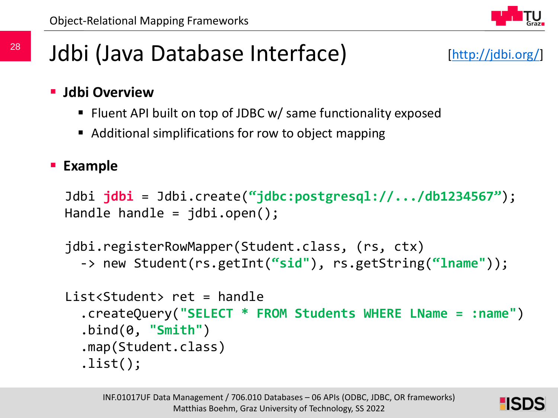

### Jdbi (Java Database Interface)

- **Jdbi Overview**
	- Fluent API built on top of JDBC w/ same functionality exposed
	- Additional simplifications for row to object mapping

#### **Example**

```
Jdbi jdbi = Jdbi.create("jdbc:postgresql://.../db1234567");
Handle handle = jdbi.open();
```

```
jdbi.registerRowMapper(Student.class, (rs, ctx) 
  -> new Student(rs.getInt("sid"), rs.getString("lname"));
```

```
List<Student> ret = handle
  .createQuery("SELECT * FROM Students WHERE LName = :name")
  .bind(0, "Smith")
  .map(Student.class)
  .list();
```
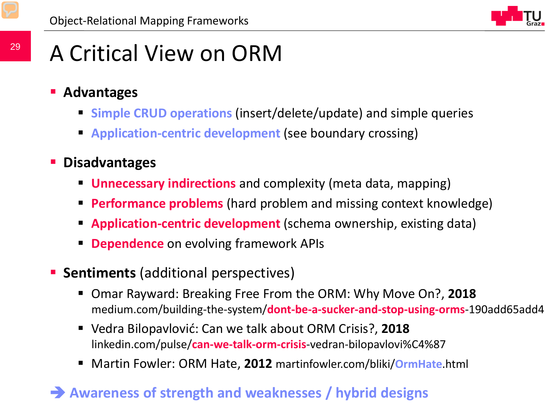

### A Critical View on ORM

- **Advantages**
	- **Simple CRUD operations** (insert/delete/update) and simple queries
	- **Application-centric development** (see boundary crossing)
- **Disadvantages**
	- **Unnecessary indirections** and complexity (meta data, mapping)
	- **Performance problems** (hard problem and missing context knowledge)
	- **Application-centric development** (schema ownership, existing data)
	- **Dependence** on evolving framework APIs
- **Sentiments** (additional perspectives)
	- Omar Rayward: Breaking Free From the ORM: Why Move On?, **2018** medium.com/building-the-system/**dont-be-a-sucker-and-stop-using-orms**-190add65add4
	- Vedra Bilopavlović: Can we talk about ORM Crisis?, **2018** linkedin.com/pulse/**can-we-talk-orm-crisis**-vedran-bilopavlovi%C4%87
	- Martin Fowler: ORM Hate, **2012** martinfowler.com/bliki/**OrmHate**.html

### $\rightarrow$  Awareness of strength and weaknesses / hybrid designs